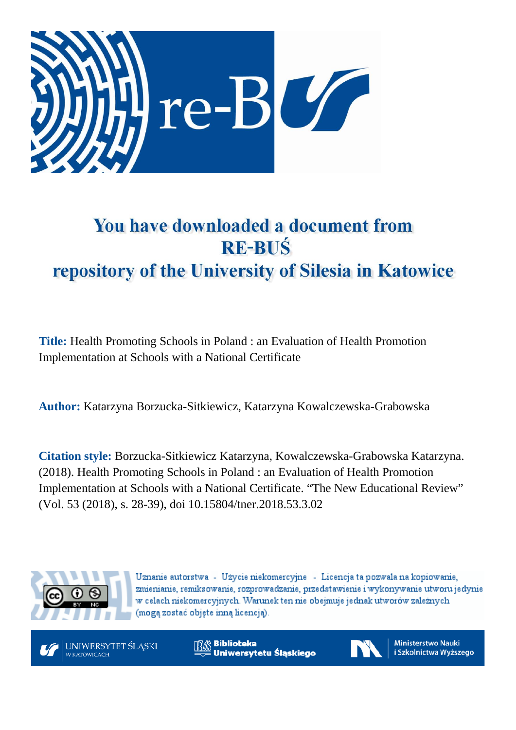

# You have downloaded a document from **RE-BUŚ** repository of the University of Silesia in Katowice

**Title:** Health Promoting Schools in Poland : an Evaluation of Health Promotion Implementation at Schools with a National Certificate

**Author:** Katarzyna Borzucka-Sitkiewicz, Katarzyna Kowalczewska-Grabowska

**Citation style:** Borzucka-Sitkiewicz Katarzyna, Kowalczewska-Grabowska Katarzyna. (2018). Health Promoting Schools in Poland : an Evaluation of Health Promotion Implementation at Schools with a National Certificate. "The New Educational Review" (Vol. 53 (2018), s. 28-39), doi 10.15804/tner.2018.53.3.02



Uznanie autorstwa - Użycie niekomercyjne - Licencja ta pozwala na kopiowanie, zmienianie, remiksowanie, rozprowadzanie, przedstawienie i wykonywanie utworu jedynie w celach niekomercyjnych. Warunek ten nie obejmuje jednak utworów zależnych (moga zostać objete inna licencia).



**Biblioteka** Uniwersytetu Śląskiego



**Ministerstwo Nauki** i Szkolnictwa Wyższego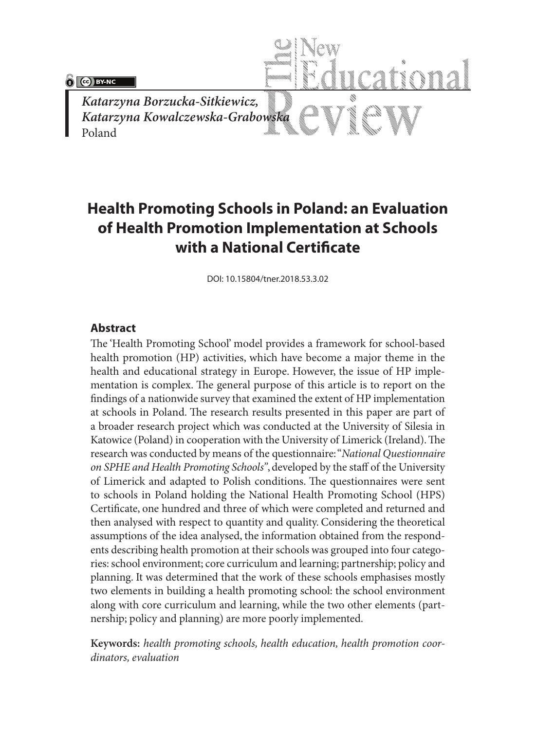$\delta$   $\alpha$   $\beta$   $\beta$   $\gamma$   $\alpha$ 

*Katarzyna Borzucka-Sitkiewicz, Katarzyna Kowalczewska-Grabowska* Poland

## **Health Promoting Schools in Poland: an Evaluation of Health Promotion Implementation at Schools with a National Certificate**

DOI: 10.15804/tner.2018.53.3.02

#### **Abstract**

The 'Health Promoting School' model provides a framework for school-based health promotion (HP) activities, which have become a major theme in the health and educational strategy in Europe. However, the issue of HP implementation is complex. The general purpose of this article is to report on the findings of a nationwide survey that examined the extent of HP implementation at schools in Poland. The research results presented in this paper are part of a broader research project which was conducted at the University of Silesia in Katowice (Poland) in cooperation with the University of Limerick (Ireland). The research was conducted by means of the questionnaire: "*National Questionnaire on SPHE and Health Promoting Schools"*, developed by the staff of the University of Limerick and adapted to Polish conditions. The questionnaires were sent to schools in Poland holding the National Health Promoting School (HPS) Certificate, one hundred and three of which were completed and returned and then analysed with respect to quantity and quality. Considering the theoretical assumptions of the idea analysed, the information obtained from the respondents describing health promotion at their schools was grouped into four categories: school environment; core curriculum and learning; partnership; policy and planning. It was determined that the work of these schools emphasises mostly two elements in building a health promoting school: the school environment along with core curriculum and learning, while the two other elements (partnership; policy and planning) are more poorly implemented.

**Keywords:** *health promoting schools, health education, health promotion coordinators, evaluation*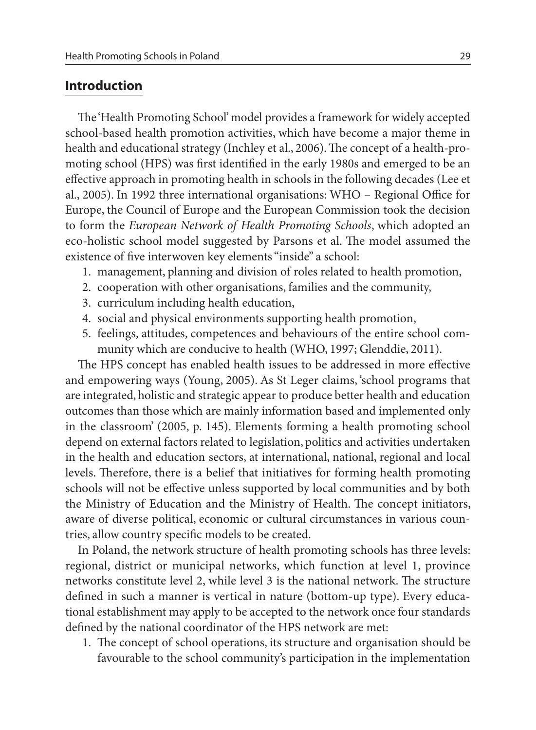## **Introduction**

The 'Health Promoting School' model provides a framework for widely accepted school-based health promotion activities, which have become a major theme in health and educational strategy (Inchley et al., 2006). The concept of a health-promoting school (HPS) was first identified in the early 1980s and emerged to be an effective approach in promoting health in schools in the following decades (Lee et al., 2005). In 1992 three international organisations: WHO – Regional Office for Europe, the Council of Europe and the European Commission took the decision to form the *European Network of Health Promoting Schools*, which adopted an eco-holistic school model suggested by Parsons et al. The model assumed the existence of five interwoven key elements "inside" a school:

- 1. management, planning and division of roles related to health promotion,
- 2. cooperation with other organisations, families and the community,
- 3. curriculum including health education,
- 4. social and physical environments supporting health promotion,
- 5. feelings, attitudes, competences and behaviours of the entire school community which are conducive to health (WHO, 1997; Glenddie, 2011).

The HPS concept has enabled health issues to be addressed in more effective and empowering ways (Young, 2005). As St Leger claims, 'school programs that are integrated, holistic and strategic appear to produce better health and education outcomes than those which are mainly information based and implemented only in the classroom' (2005, p. 145). Elements forming a health promoting school depend on external factors related to legislation, politics and activities undertaken in the health and education sectors, at international, national, regional and local levels. Therefore, there is a belief that initiatives for forming health promoting schools will not be effective unless supported by local communities and by both the Ministry of Education and the Ministry of Health. The concept initiators, aware of diverse political, economic or cultural circumstances in various countries, allow country specific models to be created.

In Poland, the network structure of health promoting schools has three levels: regional, district or municipal networks, which function at level 1, province networks constitute level 2, while level 3 is the national network. The structure defined in such a manner is vertical in nature (bottom-up type). Every educational establishment may apply to be accepted to the network once four standards defined by the national coordinator of the HPS network are met:

1. The concept of school operations, its structure and organisation should be favourable to the school community's participation in the implementation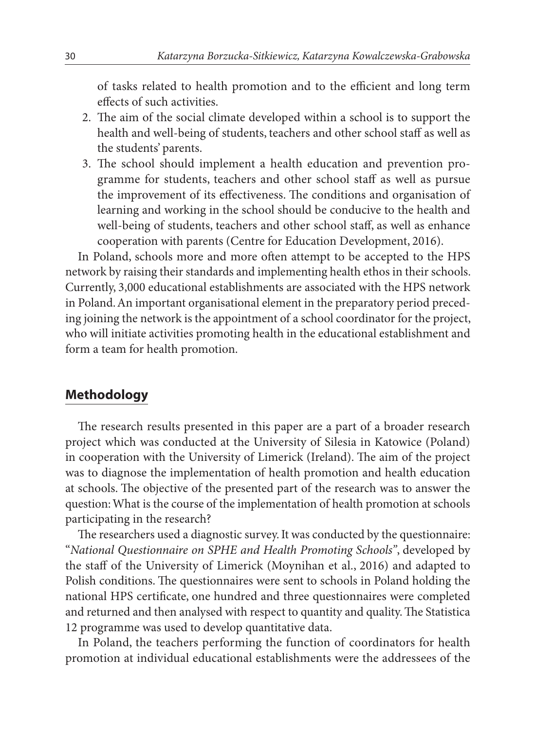of tasks related to health promotion and to the efficient and long term effects of such activities.

- 2. The aim of the social climate developed within a school is to support the health and well-being of students, teachers and other school staff as well as the students' parents.
- 3. The school should implement a health education and prevention programme for students, teachers and other school staff as well as pursue the improvement of its effectiveness. The conditions and organisation of learning and working in the school should be conducive to the health and well-being of students, teachers and other school staff, as well as enhance cooperation with parents (Centre for Education Development, 2016).

In Poland, schools more and more often attempt to be accepted to the HPS network by raising their standards and implementing health ethos in their schools. Currently, 3,000 educational establishments are associated with the HPS network in Poland. An important organisational element in the preparatory period preceding joining the network is the appointment of a school coordinator for the project, who will initiate activities promoting health in the educational establishment and form a team for health promotion.

## **Methodology**

The research results presented in this paper are a part of a broader research project which was conducted at the University of Silesia in Katowice (Poland) in cooperation with the University of Limerick (Ireland). The aim of the project was to diagnose the implementation of health promotion and health education at schools. The objective of the presented part of the research was to answer the question: What is the course of the implementation of health promotion at schools participating in the research?

The researchers used a diagnostic survey. It was conducted by the questionnaire: "*National Questionnaire on SPHE and Health Promoting Schools"*, developed by the staff of the University of Limerick (Moynihan et al., 2016) and adapted to Polish conditions. The questionnaires were sent to schools in Poland holding the national HPS certificate, one hundred and three questionnaires were completed and returned and then analysed with respect to quantity and quality. The Statistica 12 programme was used to develop quantitative data.

In Poland, the teachers performing the function of coordinators for health promotion at individual educational establishments were the addressees of the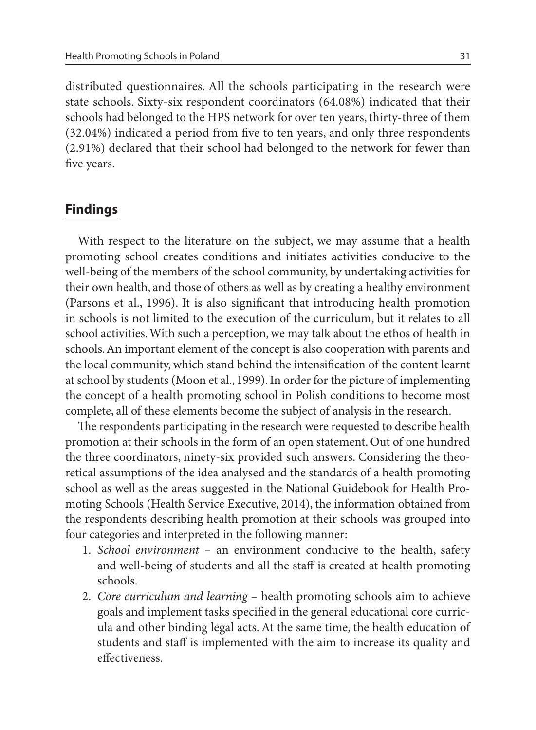distributed questionnaires. All the schools participating in the research were state schools. Sixty-six respondent coordinators (64.08%) indicated that their schools had belonged to the HPS network for over ten years, thirty-three of them (32.04%) indicated a period from five to ten years, and only three respondents (2.91%) declared that their school had belonged to the network for fewer than five years.

## **Findings**

With respect to the literature on the subject, we may assume that a health promoting school creates conditions and initiates activities conducive to the well-being of the members of the school community, by undertaking activities for their own health, and those of others as well as by creating a healthy environment (Parsons et al., 1996). It is also significant that introducing health promotion in schools is not limited to the execution of the curriculum, but it relates to all school activities. With such a perception, we may talk about the ethos of health in schools. An important element of the concept is also cooperation with parents and the local community, which stand behind the intensification of the content learnt at school by students (Moon et al., 1999). In order for the picture of implementing the concept of a health promoting school in Polish conditions to become most complete, all of these elements become the subject of analysis in the research.

The respondents participating in the research were requested to describe health promotion at their schools in the form of an open statement. Out of one hundred the three coordinators, ninety-six provided such answers. Considering the theoretical assumptions of the idea analysed and the standards of a health promoting school as well as the areas suggested in the National Guidebook for Health Promoting Schools (Health Service Executive, 2014), the information obtained from the respondents describing health promotion at their schools was grouped into four categories and interpreted in the following manner:

- 1. *School environment* an environment conducive to the health, safety and well-being of students and all the staff is created at health promoting schools.
- 2. *Core curriculum and learning* health promoting schools aim to achieve goals and implement tasks specified in the general educational core curricula and other binding legal acts. At the same time, the health education of students and staff is implemented with the aim to increase its quality and effectiveness.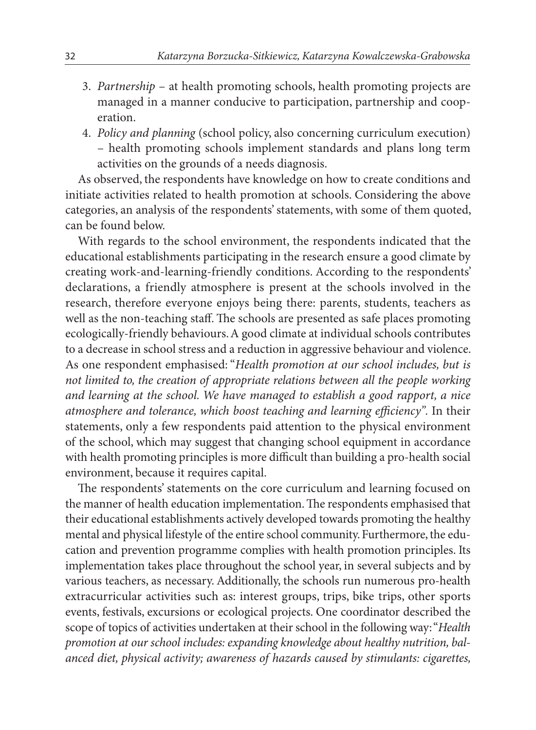- 3. *Partnership*  at health promoting schools, health promoting projects are managed in a manner conducive to participation, partnership and cooperation.
- 4. *Policy and planning* (school policy, also concerning curriculum execution) – health promoting schools implement standards and plans long term activities on the grounds of a needs diagnosis.

As observed, the respondents have knowledge on how to create conditions and initiate activities related to health promotion at schools. Considering the above categories, an analysis of the respondents' statements, with some of them quoted, can be found below.

With regards to the school environment, the respondents indicated that the educational establishments participating in the research ensure a good climate by creating work-and-learning-friendly conditions. According to the respondents' declarations, a friendly atmosphere is present at the schools involved in the research, therefore everyone enjoys being there: parents, students, teachers as well as the non-teaching staff. The schools are presented as safe places promoting ecologically-friendly behaviours. A good climate at individual schools contributes to a decrease in school stress and a reduction in aggressive behaviour and violence. As one respondent emphasised: "*Health promotion at our school includes, but is not limited to, the creation of appropriate relations between all the people working and learning at the school. We have managed to establish a good rapport, a nice atmosphere and tolerance, which boost teaching and learning efficiency".* In their statements, only a few respondents paid attention to the physical environment of the school, which may suggest that changing school equipment in accordance with health promoting principles is more difficult than building a pro-health social environment, because it requires capital.

The respondents' statements on the core curriculum and learning focused on the manner of health education implementation. The respondents emphasised that their educational establishments actively developed towards promoting the healthy mental and physical lifestyle of the entire school community. Furthermore, the education and prevention programme complies with health promotion principles. Its implementation takes place throughout the school year, in several subjects and by various teachers, as necessary. Additionally, the schools run numerous pro-health extracurricular activities such as: interest groups, trips, bike trips, other sports events, festivals, excursions or ecological projects. One coordinator described the scope of topics of activities undertaken at their school in the following way: "*Health promotion at our school includes: expanding knowledge about healthy nutrition, balanced diet, physical activity; awareness of hazards caused by stimulants: cigarettes,*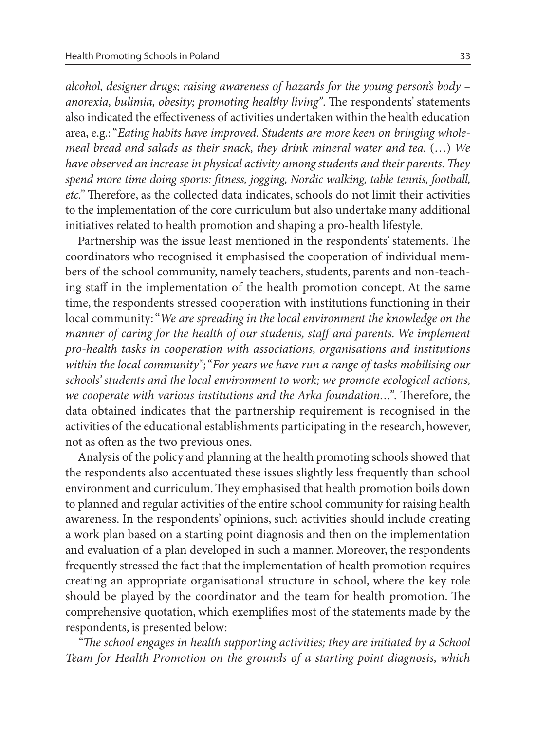*alcohol, designer drugs; raising awareness of hazards for the young person's body – anorexia, bulimia, obesity; promoting healthy living"*. The respondents' statements also indicated the effectiveness of activities undertaken within the health education area, e.g.: "*Eating habits have improved. Students are more keen on bringing wholemeal bread and salads as their snack, they drink mineral water and tea.* (…) *We have observed an increase in physical activity among students and their parents. They spend more time doing sports: fitness, jogging, Nordic walking, table tennis, football, etc."* Therefore, as the collected data indicates, schools do not limit their activities to the implementation of the core curriculum but also undertake many additional initiatives related to health promotion and shaping a pro-health lifestyle.

Partnership was the issue least mentioned in the respondents' statements. The coordinators who recognised it emphasised the cooperation of individual members of the school community, namely teachers, students, parents and non-teaching staff in the implementation of the health promotion concept. At the same time, the respondents stressed cooperation with institutions functioning in their local community: "*We are spreading in the local environment the knowledge on the manner of caring for the health of our students, staff and parents. We implement pro-health tasks in cooperation with associations, organisations and institutions within the local community"*; "*For years we have run a range of tasks mobilising our schools' students and the local environment to work; we promote ecological actions, we cooperate with various institutions and the Arka foundation…"*. Therefore, the data obtained indicates that the partnership requirement is recognised in the activities of the educational establishments participating in the research, however, not as often as the two previous ones.

Analysis of the policy and planning at the health promoting schools showed that the respondents also accentuated these issues slightly less frequently than school environment and curriculum. They emphasised that health promotion boils down to planned and regular activities of the entire school community for raising health awareness. In the respondents' opinions, such activities should include creating a work plan based on a starting point diagnosis and then on the implementation and evaluation of a plan developed in such a manner. Moreover, the respondents frequently stressed the fact that the implementation of health promotion requires creating an appropriate organisational structure in school, where the key role should be played by the coordinator and the team for health promotion. The comprehensive quotation, which exemplifies most of the statements made by the respondents, is presented below:

*"The school engages in health supporting activities; they are initiated by a School Team for Health Promotion on the grounds of a starting point diagnosis, which*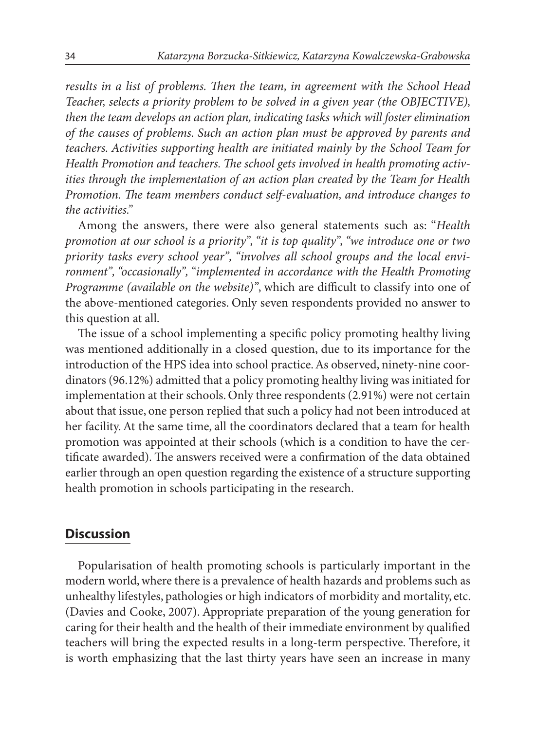*results in a list of problems. Then the team, in agreement with the School Head Teacher, selects a priority problem to be solved in a given year (the OBJECTIVE), then the team develops an action plan, indicating tasks which will foster elimination of the causes of problems. Such an action plan must be approved by parents and teachers. Activities supporting health are initiated mainly by the School Team for Health Promotion and teachers. The school gets involved in health promoting activities through the implementation of an action plan created by the Team for Health Promotion. The team members conduct self-evaluation, and introduce changes to the activities."*

Among the answers, there were also general statements such as: "*Health promotion at our school is a priority", "it is top quality", "we introduce one or two priority tasks every school year", "involves all school groups and the local environment", "occasionally", "implemented in accordance with the Health Promoting Programme (available on the website)"*, which are difficult to classify into one of the above-mentioned categories. Only seven respondents provided no answer to this question at all.

The issue of a school implementing a specific policy promoting healthy living was mentioned additionally in a closed question, due to its importance for the introduction of the HPS idea into school practice. As observed, ninety-nine coordinators (96.12%) admitted that a policy promoting healthy living was initiated for implementation at their schools. Only three respondents (2.91%) were not certain about that issue, one person replied that such a policy had not been introduced at her facility. At the same time, all the coordinators declared that a team for health promotion was appointed at their schools (which is a condition to have the certificate awarded). The answers received were a confirmation of the data obtained earlier through an open question regarding the existence of a structure supporting health promotion in schools participating in the research.

## **Discussion**

Popularisation of health promoting schools is particularly important in the modern world, where there is a prevalence of health hazards and problems such as unhealthy lifestyles, pathologies or high indicators of morbidity and mortality, etc. (Davies and Cooke, 2007). Appropriate preparation of the young generation for caring for their health and the health of their immediate environment by qualified teachers will bring the expected results in a long-term perspective. Therefore, it is worth emphasizing that the last thirty years have seen an increase in many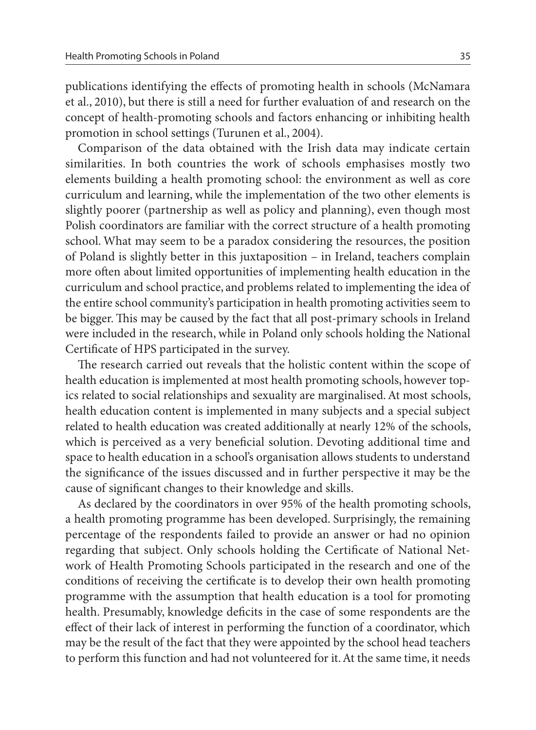publications identifying the effects of promoting health in schools (McNamara et al., 2010), but there is still a need for further evaluation of and research on the concept of health-promoting schools and factors enhancing or inhibiting health promotion in school settings (Turunen et al., 2004).

Comparison of the data obtained with the Irish data may indicate certain similarities. In both countries the work of schools emphasises mostly two elements building a health promoting school: the environment as well as core curriculum and learning, while the implementation of the two other elements is slightly poorer (partnership as well as policy and planning), even though most Polish coordinators are familiar with the correct structure of a health promoting school. What may seem to be a paradox considering the resources, the position of Poland is slightly better in this juxtaposition – in Ireland, teachers complain more often about limited opportunities of implementing health education in the curriculum and school practice, and problems related to implementing the idea of the entire school community's participation in health promoting activities seem to be bigger. This may be caused by the fact that all post-primary schools in Ireland were included in the research, while in Poland only schools holding the National Certificate of HPS participated in the survey.

The research carried out reveals that the holistic content within the scope of health education is implemented at most health promoting schools, however topics related to social relationships and sexuality are marginalised. At most schools, health education content is implemented in many subjects and a special subject related to health education was created additionally at nearly 12% of the schools, which is perceived as a very beneficial solution. Devoting additional time and space to health education in a school's organisation allows students to understand the significance of the issues discussed and in further perspective it may be the cause of significant changes to their knowledge and skills.

As declared by the coordinators in over 95% of the health promoting schools, a health promoting programme has been developed. Surprisingly, the remaining percentage of the respondents failed to provide an answer or had no opinion regarding that subject. Only schools holding the Certificate of National Network of Health Promoting Schools participated in the research and one of the conditions of receiving the certificate is to develop their own health promoting programme with the assumption that health education is a tool for promoting health. Presumably, knowledge deficits in the case of some respondents are the effect of their lack of interest in performing the function of a coordinator, which may be the result of the fact that they were appointed by the school head teachers to perform this function and had not volunteered for it. At the same time, it needs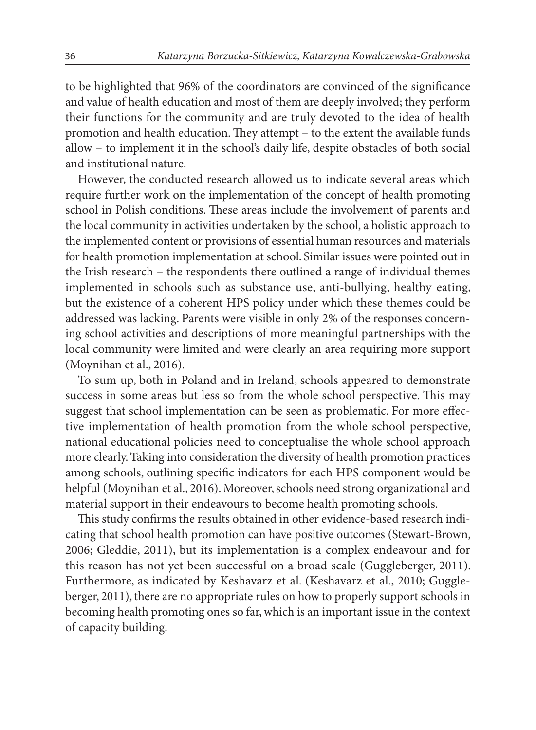to be highlighted that 96% of the coordinators are convinced of the significance and value of health education and most of them are deeply involved; they perform their functions for the community and are truly devoted to the idea of health promotion and health education. They attempt – to the extent the available funds allow – to implement it in the school's daily life, despite obstacles of both social and institutional nature.

However, the conducted research allowed us to indicate several areas which require further work on the implementation of the concept of health promoting school in Polish conditions. These areas include the involvement of parents and the local community in activities undertaken by the school, a holistic approach to the implemented content or provisions of essential human resources and materials for health promotion implementation at school. Similar issues were pointed out in the Irish research – the respondents there outlined a range of individual themes implemented in schools such as substance use, anti-bullying, healthy eating, but the existence of a coherent HPS policy under which these themes could be addressed was lacking. Parents were visible in only 2% of the responses concerning school activities and descriptions of more meaningful partnerships with the local community were limited and were clearly an area requiring more support (Moynihan et al., 2016).

To sum up, both in Poland and in Ireland, schools appeared to demonstrate success in some areas but less so from the whole school perspective. This may suggest that school implementation can be seen as problematic. For more effective implementation of health promotion from the whole school perspective, national educational policies need to conceptualise the whole school approach more clearly. Taking into consideration the diversity of health promotion practices among schools, outlining specific indicators for each HPS component would be helpful (Moynihan et al., 2016). Moreover, schools need strong organizational and material support in their endeavours to become health promoting schools.

This study confirms the results obtained in other evidence-based research indicating that school health promotion can have positive outcomes (Stewart-Brown, 2006; Gleddie, 2011), but its implementation is a complex endeavour and for this reason has not yet been successful on a broad scale (Guggleberger, 2011). Furthermore, as indicated by Keshavarz et al. (Keshavarz et al., 2010; Guggleberger, 2011), there are no appropriate rules on how to properly support schools in becoming health promoting ones so far, which is an important issue in the context of capacity building.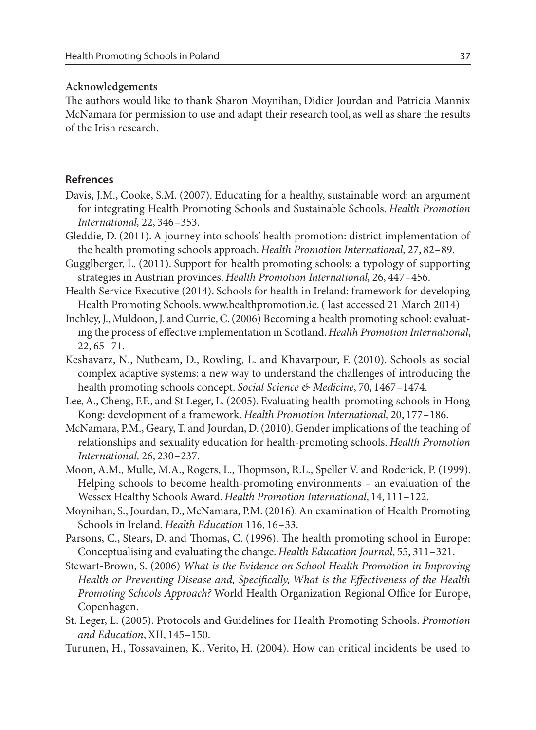#### **Acknowledgements**

The authors would like to thank Sharon Moynihan, Didier Jourdan and Patricia Mannix McNamara for permission to use and adapt their research tool, as well as share the results of the Irish research.

### **Refrences**

- Davis, J.M., Cooke, S.M. (2007). Educating for a healthy, sustainable word: an argument for integrating Health Promoting Schools and Sustainable Schools. *Health Promotion International,* 22, 346–353.
- Gleddie, D. (2011). A journey into schools' health promotion: district implementation of the health promoting schools approach. *Health Promotion International,* 27, 82–89.
- Gugglberger, L. (2011). Support for health promoting schools: a typology of supporting strategies in Austrian provinces. *Health Promotion International,* 26, 447–456.
- Health Service Executive (2014). Schools for health in Ireland: framework for developing Health Promoting Schools. www.healthpromotion.ie. ( last accessed 21 March 2014)
- Inchley, J., Muldoon, J. and Currie, C. (2006) Becoming a health promoting school: evaluating the process of effective implementation in Scotland. *Health Promotion International*, 22, 65–71.
- Keshavarz, N., Nutbeam, D., Rowling, L. and Khavarpour, F. (2010). Schools as social complex adaptive systems: a new way to understand the challenges of introducing the health promoting schools concept. *Social Science & Medicine*, 70, 1467–1474.
- Lee, A., Cheng, F.F., and St Leger, L. (2005). Evaluating health-promoting schools in Hong Kong: development of a framework. *Health Promotion International,* 20, 177–186.
- McNamara, P.M., Geary, T. and Jourdan, D. (2010). Gender implications of the teaching of relationships and sexuality education for health-promoting schools. *Health Promotion International,* 26, 230–237.
- Moon, A.M., Mulle, M.A., Rogers, L., Thopmson, R.L., Speller V. and Roderick, P. (1999). Helping schools to become health-promoting environments – an evaluation of the Wessex Healthy Schools Award. *Health Promotion International*, 14, 111–122.
- Moynihan, S., Jourdan, D., McNamara, P.M. (2016). An examination of Health Promoting Schools in Ireland. *Health Education* 116, 16–33.
- Parsons, C., Stears, D. and Thomas, C. (1996). The health promoting school in Europe: Conceptualising and evaluating the change. *Health Education Journal*, 55, 311–321.
- Stewart-Brown, S. (2006) *What is the Evidence on School Health Promotion in Improving Health or Preventing Disease and, Specifically, What is the Effectiveness of the Health Promoting Schools Approach?* World Health Organization Regional Office for Europe, Copenhagen.
- St. Leger, L. (2005). Protocols and Guidelines for Health Promoting Schools. *Promotion and Education*, XII, 145–150.
- Turunen, H., Tossavainen, K., Verito, H. (2004). How can critical incidents be used to